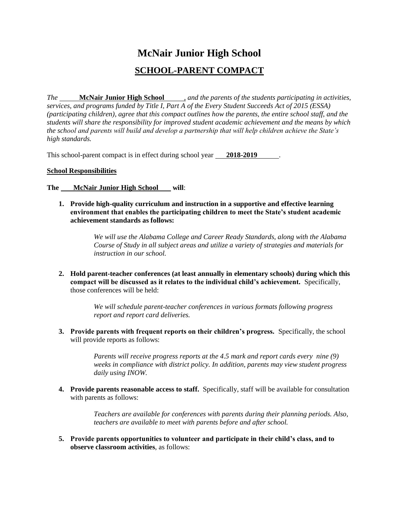# **McNair Junior High School SCHOOL-PARENT COMPACT**

*The* **McNair Junior High School** *, and the parents of the students participating in activities, services, and programs funded by Title I, Part A of the Every Student Succeeds Act of 2015 (ESSA) (participating children), agree that this compact outlines how the parents, the entire school staff, and the students will share the responsibility for improved student academic achievement and the means by which the school and parents will build and develop a partnership that will help children achieve the State's high standards.*

This school-parent compact is in effect during school year **2018-2019** .

#### **School Responsibilities**

**The McNair Junior High School will**:

**1. Provide high-quality curriculum and instruction in a supportive and effective learning environment that enables the participating children to meet the State's student academic achievement standards as follows:**

> *We will use the Alabama College and Career Ready Standards, along with the Alabama Course of Study in all subject areas and utilize a variety of strategies and materials for instruction in our school.*

**2. Hold parent-teacher conferences (at least annually in elementary schools) during which this compact will be discussed as it relates to the individual child's achievement.** Specifically, those conferences will be held:

> *We will schedule parent-teacher conferences in various formats following progress report and report card deliveries.*

**3. Provide parents with frequent reports on their children's progress.** Specifically, the school will provide reports as follows:

> *Parents will receive progress reports at the 4.5 mark and report cards every nine (9) weeks in compliance with district policy. In addition, parents may view student progress daily using INOW.*

**4. Provide parents reasonable access to staff.** Specifically, staff will be available for consultation with parents as follows:

> *Teachers are available for conferences with parents during their planning periods. Also, teachers are available to meet with parents before and after school.*

**5. Provide parents opportunities to volunteer and participate in their child's class, and to observe classroom activities**, as follows: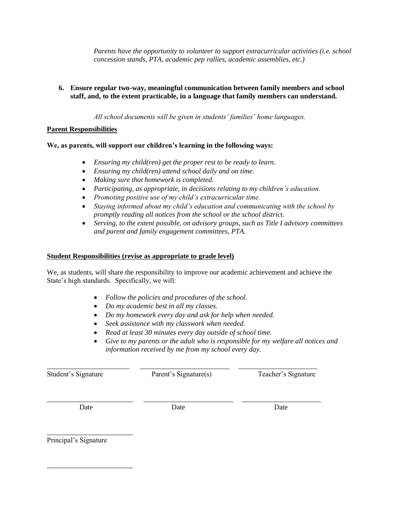*Parents have the opportunity to volunteer to support extracurricular activities (i.e. school concession stands, PTA, academic pep rallies, academic assemblies, etc.)*

# **6. Ensure regular two-way, meaningful communication between family members and school staff, and, to the extent practicable, in a language that family members can understand.**

*All school documents will be given in students' families' home languages.*

## **Parent Responsibilities**

**We, as parents, will support our children's learning in the following ways:**

- *Ensuring my child(ren) get the proper rest to be ready to learn.*
- *Ensuring my child(ren) attend school daily and on time.*
- *Making sure that homework is completed.*
- *Participating, as appropriate, in decisions relating to my children's education.*
- *Promoting positive use of my child's extracurricular time.*
- *Staying informed about my child's education and communicating with the school by promptly reading all notices from the school or the school district.*
- *Serving, to the extent possible, on advisory groups, such as Title I advisory committees and parent and family engagement committees, PTA.*

## **Student Responsibilities (revise as appropriate to grade level)**

We, as students, will share the responsibility to improve our academic achievement and achieve the State's high standards. Specifically, we will:

- *Follow the policies and procedures of the school.*
- *Do my academic best in all my classes.*
- *Do my homework every day and ask for help when needed.*
- *Seek assistance with my classwork when needed.*
- *Read at least 30 minutes every day outside of school time.*
- *Give to my parents or the adult who is responsible for my welfare all notices and information received by me from my school every day.*

\_\_\_\_\_\_\_\_\_\_\_\_\_\_\_\_\_\_\_\_\_\_\_ \_\_\_\_\_\_\_\_\_\_\_\_\_\_\_\_\_\_\_\_\_\_\_\_\_ \_\_\_\_\_\_\_\_\_\_\_\_\_\_\_\_\_\_\_\_\_\_ Student's Signature Parent's Signature(s) Teacher's Signature

\_\_\_\_\_\_\_\_\_\_\_\_\_\_\_\_\_\_\_\_\_\_\_\_ \_\_\_\_\_\_\_\_\_\_\_\_\_\_\_\_\_\_\_\_\_\_\_\_\_ \_\_\_\_\_\_\_\_\_\_\_\_\_\_\_\_\_\_\_\_\_\_

Date Date Date Date

\_\_\_\_\_\_\_\_\_\_\_\_\_\_\_\_\_\_\_\_\_\_\_\_

\_\_\_\_\_\_\_\_\_\_\_\_\_\_\_\_\_\_\_\_\_\_\_\_

Principal's Signature